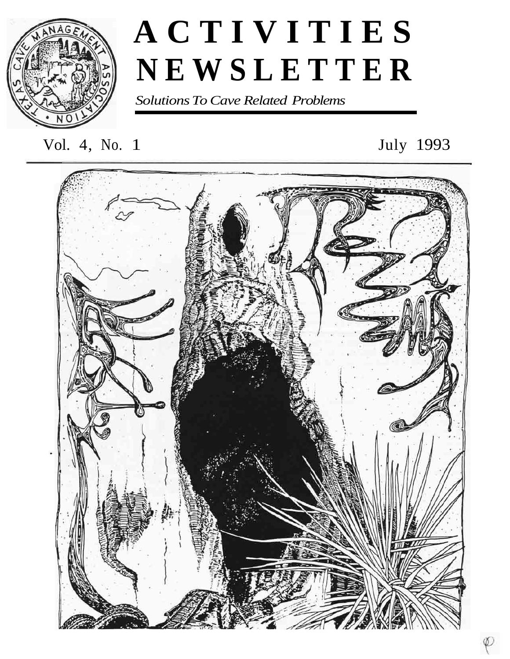

# **ACTIVITIES NEWSLETTER**

*Solutions To Cave Related Problems* 

# Vol. 4, No. 1 July 1993

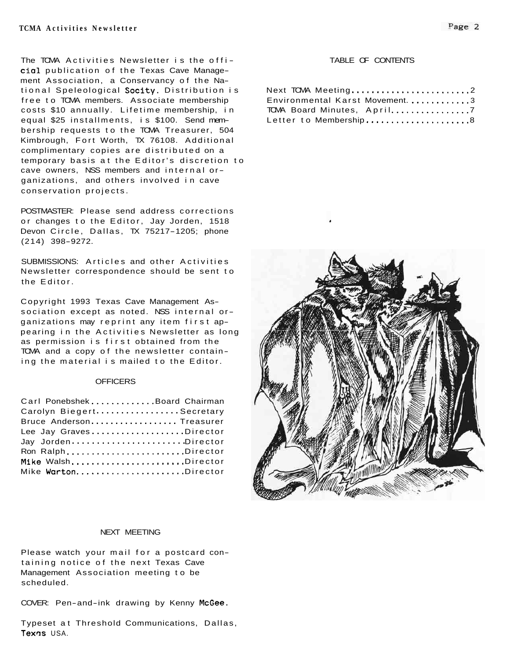The TOMA Activities Newsletter is the offi-<br>TABLE OF CONTENTS cia1 publication of the Texas Cave Management Association, a Conservancy of the National Speleological Socity. Distribution is free to TCMA members. Associate membership costs \$10 annually. Lifetime membership, in equal \$25 installments, is \$100. Send membership requests to the TCMA Treasurer, 504 Kimbrough, Fort Worth, TX 76108. Additional complimentary copies are distributed on a temporary basis at the Editor's discretion to cave owners, NSS members and internal organizations, and others involved in cave conservation projects.

POSTMASTER: Please send address corrections or changes to the Editor, Jay Jorden, 1518 Devon Circle, Dallas, TX 75217-1205; phone (214) 398-9272.

SUBMISSIONS: Articles and other Activities Newsletter correspondence should be sent to the Editor.

Copyright 1993 Texas Cave Management Association except as noted. NSS internal organizations may reprint any item first appearing in the Activities Newsletter as long as permission is first obtained from the TCMA and a copy of the newsletter containing the material is mailed to the Editor.

#### **OFFICERS**

| Carl PonebshekBoard Chairman |  |
|------------------------------|--|
| Carolyn BiegertSecretary     |  |
| Bruce Anderson Treasurer     |  |
| Lee Jay GravesDirector       |  |
| Jay JordenDirector           |  |
| Ron RalphDirector            |  |
| Mike WalshDirector           |  |
|                              |  |

| Next TOMA Meeting2              |  |
|---------------------------------|--|
| Environmental Karst Movement. 3 |  |
| TOMA Board Minutes, April7      |  |
| Letter to Membership8           |  |



### NEXT MEETING

Please watch your mail for a postcard containing notice of the next Texas Cave Management Association meeting to be scheduled.

COVER: Pen-and-ink drawing by Kenny McGee.

Typeset at Threshold Communications, Dallas, Texas USA.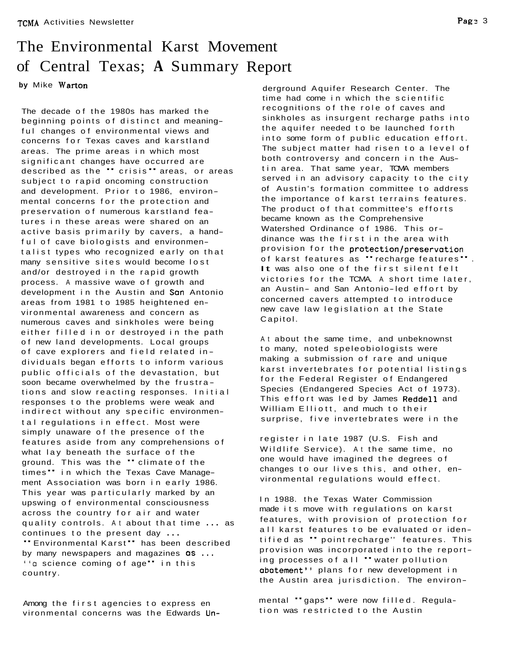## The Environmental Karst Movement of Central Texas; **A** Summary Report

**by** Mike Warton

The decade of the 1980s has marked the beginning points of distinct and meaningful changes of environmental views and concerns for Texas caves and karstland areas. The prime areas in which most significant changes have occurred are described as the " crisis " areas, or areas subject to rapid oncoming construction and development. Prior to 1986, environmental concerns for the protection and preservation of numerous karstland features in these areas were shared on an active basis primarily by cavers, a handful of cave biologists and environmentalist types who recognized early on that many sensitive sites would become lost and/or destroyed in the rapid growth process. A massive wave of growth and development in the Austin and San Antonio areas from 1981 to 1985 heightened environmental awareness and concern as numerous caves and sinkholes were being either filled in or destroyed in the path of new land developments. Local groups of cave explorers and field related in dividuals began efforts to inform various public officials of the devastation, but soon became overwhelmed by the frustra tions and slow reacting responses. Initial responses to the problems were weak and indirect without any specific environmental regulations in effect. Most were simply unaware of the presence of the features aside from any comprehensions of what lay beneath the surface of the what lay beneath the surface of the<br>ground. This was the " climate.of the ground. This was the "climate of the<br>times" in which the Texas Cave Management Association was born in early 1986. This year was particularly marked by an upswing of environmental consciousness across the country for air and water quality controls. At about that time ... as continues to the present day ...<br>"Environmental Karst" has been described<br>by many newspapers and magazines **as** ... ''a science coming of age" in this country.

Among the first agencies to express en vironmental concerns was the Edwards Un-

derground Aquifer Research Center. The time had come in which the scientific recognitions of the role of caves and sinkholes as insurgent recharge paths into the aquifer needed to be launched forth into some form of public education effort. The subject matter had risen to a level of both controversy and concern in the Austin area. That same year, TCMA members served in an advisory capacity to the city of Austin's formation committee to address the importance of karst terrains features. The product of that committee's efforts became known as the Comprehensive Watershed Ordinance of 1986. This ordinance was the first in the area with provision for the <mark>protection/preservation</mark><br>of karst features as **"** recharge features**"** . of karst features as "recharge features".<br>It was also one of the first silent felt victories for the TCMA. A short time later, an Austin- and San Antonio-led effort by concerned cavers attempted to introduce new cave law legislation at the State Capitol.

At about the same time, and unbeknownst to many, noted speleobiologists were making a submission of rare and unique karst invertebrates for potential listings for the Federal Register of Endangered Species (Endangered Species Act of 1973). This effort was led by James Reddell and William Elliott, and much to their surprise, five invertebrates were in the

register in late 1987 (U.S. Fish and Wildlife Service). At the same time, no one would have imagined the degrees of changes to our lives this, and other, environmental regulations would effect.

In 1988. the Texas Water Commission made its move with regulations on karst features, with provision of protection for all karst features to be evaluated or identified as " point recharge'' features. This provision was incorporated into the report-ing processes of all "water pollution abatement" plans for new development in the Austin area jurisdiction. The environ-

mental "gaps" were now filled. Regulation was restricted to the Austin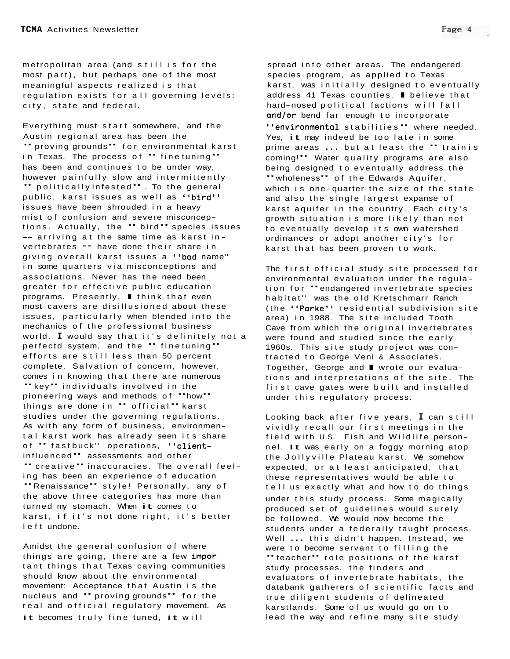metropolitan area (and still is for the most part), but perhaps one of the most meaningful aspects realized is that regulation exists for all governing levels: city, state and federal.

Everything must start somewhere, and the Austin regional area has been the " proving grounds" for environmental karst in Texas. The process of " fine tuning" has been and continues to be under way, however painfully slow and intermittently " politically infested ". To the general public, karst issues as well as ''bird'' issues have been shrouded in a heavy mist of confusion and severe misconceptions. Actually, the " bird " species issues  $-$  arriving at the same time as karst invertebrates -- have done their share in giving overall karst issues a "bad name'' in some quarters via misconceptions and associations. Never has the need been greater for effective public education associations. Never has the need been<br>greater for effective public education<br>programs. Presently, I think that even most cavers are disillusioned about these issues, particularly when blended into the mechanics of the professional business world. **I** would say that it's definitely not a perfectd system, and the " fine tuning" efforts are still less than 50 percent complete. Salvation of concern, however, comes in knowing that there are numerous " key" individuals involved in the "key" individuals involved in the<br>pioneering ways and methods of "how" pioneering ways and methods of **"**how**"**<br>things are done in **"** official**"** karst studies under the governing regulations. As with any form of business, environmental karst work has already seen its share<br>of " fastbuck'' operations, <mark>'client-</mark> of " fastbuck" operations, "client-<br>influenced" assessments and other " creative " inaccuracies. The overall feeling has been an experience of education "Renaissance" style! Personally, any of the above three categories has more than turned my stomach. When it comes to karst, if it's not done right, it's better left undone.

Amidst the general confusion of where things are going, there are a few impor tant things that Texas caving communities should know about the environmental movement: Acceptance that Austin is the nucleus and " proving grounds" for the real and official regulatory movement. As it becomes truly fine tuned, it will

spread into other areas. The endangered species program, as applied to Texas karst, was initially designed to eventually address 41 Texas counties. I believe that hard-nosed political factions will fall and/or bend far enough to incorporate "environmental stabilities " where needed. Yes, it may indeed be too late in some prime areas ... but at least the " train is prime areas ... but at least the " trainis<br>coming!" Water quality programs are also being designed to eventually address the "wholeness" of the Edwards Aquifer, "wholeness" of the Edwards Aquifer,<br>which is one-quarter the size of the state and also the single largest expanse of karst aquifer in the country. Each city's growth situation is more likely than not to eventually develop its own watershed ordinances or adopt another city's for karst that has been proven to work.

The first official study site processed for environmental evaluation under the regulation for "endangered invertebrate species habitat'' was the old Kretschmarr Ranch (the "Parke" residential subdivision site area) in 1988. The site included Tooth Cave from which the original invertebrates were found and studied since the early were found and stadied since the early<br>1960s. This site study project was con-<br>tracted to George and ■ wrote our evalua-<br>tions and interpretations of the site. tracted to George Veni & Associates. tions and interpretations of the site. The first cave gates were built and installed under this regulatory process.

Looking back after five years, **I** can still vividly recall our first meetings in the field with U.S. Fish and Wildlife personnel. It was early on a foggy morning atop the Jollyville Plateau karst. We somehow expected, or at least anticipated, that these representatives would be able to tell us exactly what and how to do things under this study process. Some magically produced set of guidelines would surely be followed. We would now become the students under a federally taught process. Well ... this didn't happen. Instead, we were to become servant to filling the "teacher" role positions of the karst study processes, the finders and evaluators of invertebrate habitats, the databank gatherers of scientific facts and true diligent students of delineated karstlands. Some of us would go on to lead the way and refine many site study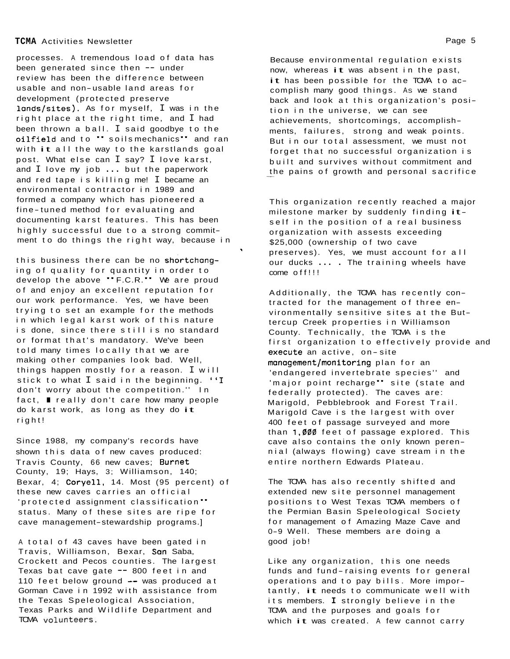processes. A tremendous load of data has been generated since then -- under review has been the difference between usable and non-usable land areas for development (protected preserve lands/sites). As for myself, I was in the right place at the right time, and I had been thrown a ball. I said goodbye to the oilfield and to " soils mechanics" and ran with it all the way to the karstlands goal post. What else can I say? I love karst, and I love my job ... but the paperwork and red tape is killing me! I became an environmental contractor in 1989 and formed a company which has pioneered a fine-tuned method for evaluating and documenting karst features. This has been highly successful due to a strong commitment to do things the right way, because in

this business there can be no shortchanging of quality for quantity in order to develop the above "F.C.R." We are proud of and enjoy an excellent reputation for our work performance. Yes, we have been trying to set an example for the methods in which legal karst work of this nature is done, since there still is no standard or format that's mandatory. We've been told many times locally that we are making other companies look bad. Well, things happen mostly for a reason. I will making other companies look bad. Well,<br>things happen mostly for a reason. I will<br>stick to what I said in the beginning. ''I<br>den't werry shout the compatition " In don't worry about the competition.'' In stick to what I said in the beginning. ''I<br>don't worry about the competition.'' In<br>fact, I really don't care how many people fact,  $\blacksquare$  really don't care how many people do karst work, as long as they do it right!

Since 1988, my company's records have shown this data of new caves produced: Travis County, 66 new caves; Burnet County, 19; Hays, 3; Williamson, 140; Bexar, 4; Coryell, 14. Most (95 percent) of these new caves carries an official 'protected assignment classification " status. Many of these sites are ripe for cave management-stewardship programs.]

A total of 43 caves have been gated in Travis, Williamson, Bexar, San Saba, Crockett and Pecos counties. The largest Texas bat cave gate -- 800 feet in and 110 feet below ground -- was produced at Gorman Cave in 1992 with assistance from the Texas Speleological Association, Texas Parks and Wildlife Department and TCMA v0lunteerS.

Because environmental regulation exists now, whereas it was absent in the past, it has been possible for the TCMA to accomplish many good things. AS we stand back and look at this organization's position in the universe, we can see achievements, shortcomings, accomplishments, failures, strong and weak points. But in our total assessment, we must not forget that no successful organization is built and survives without commitment and the pains of growth and personal sacrifice

This organization recently reached a major milestone marker by suddenly finding itself in the position of a real business organization with assests exceeding \$25,000 (ownership of two cave preserves). Yes, we must account for all our ducks ... . The training wheels have come off!!!

**1** 

Additionally, the TCMA has recently contracted for the management of three environmentally sensitive sites at the Buttercup Creek properties in Williamson County. Technically, the TCMA is the first organization to effectively provide and execute an active, on-site management/monitoring plan for an 'endangered invertebrate species'' and 'major point recharge" site (state and federally protected). The caves are: Marigold, Pebblebrook and Forest Trail. Marigold Cave is the largest with over 400 feet of passage surveyed and more than 1,000 feet of passage explored. This cave also contains the only known perennial (always flowing) cave stream in the entire northern Edwards Plateau.

The TCMA has also recently shifted and extended new site personnel management positions to West Texas TCMA members of the Permian Basin Speleological Society for management of Amazing Maze Cave and 0-9 Well. These members are doing a good job!

Like any organization, this one needs funds and fund-raising events for general operations and to pay bills. More importantly, it needs to communicate well with its members. **I** strongly believe in the TCMA and the purposes and goals for which it was created. A few cannot carry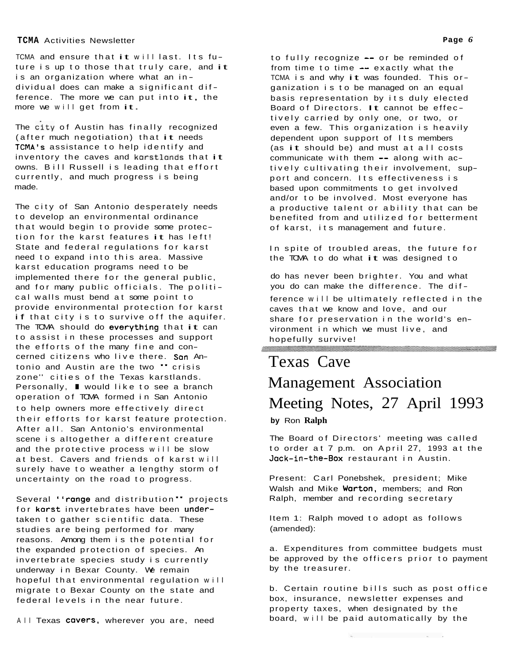TCMA and ensure that it will last. Its future is up to those that truly care, and it is an organization where what an individual does can make a significant difference. The more we can put into it, the more we will get from it.

The city of Austin has finally recognized (after much negotiation) that it needs TCMA's assistance to help identify and inventory the caves and karstlands that it owns. Bill Russell is leading that effort currently, and much progress is being made.

The city of San Antonio desperately needs to develop an environmental ordinance that would begin to provide some protection for the karst features it has left! State and federal regulations for karst need to expand into this area. Massive karst education programs need to be implemented there for the general public, and for many public officials. The political walls must bend at some point to provide environmental protection for karst if that city is to survive off the aquifer. The TOMA should do everything that it can to assist in these processes and support the efforts of the many fine and concerned citizens who live there. Son An-tonio and Austin are the two " crisis zone'' cities of the Texas karstlands. tonio and Austin are the two " crisis<br>zone" cities of the Texas karstlands.<br>Personally, ■ would like to see a branch operation of TCMA formed in San Antonio to help owners more effectively direct their efforts for karst feature protection. After all. San Antonio's environmental scene is altogether a different creature and the protective process will be slow at best. Cavers and friends of karst will surely have to weather a lengthy storm of uncertainty on the road to progress.

Several "range and distribution" projects for karst invertebrates have been undertaken to gather scientific data. These studies are being performed for many reasons. Among them is the potential for the expanded protection of species. An invertebrate species study is currently underway in Bexar County. We remain hopeful that environmental regulation will migrate to Bexar County on the state and federal levels in the near future.

All Texas cavers, wherever you are, need

to fully recognize -- or be reminded of from time to time -- exactly what the TCMA is and why it was founded. This organization is to be managed on an equal basis representation by its duly elected Board of Directors. It cannot be effec tively carried by only one, or two, or even a few. This organization is heavily dependent upon support of Its members (as it should be) and must at all costs communicate with them -- along with actively cultivating their involvement, support and concern. Its effectiveness is based upon commitments to get involved and/or to be involved. Most everyone has a productive talent or ability that can be benefited from and utilized for betterment of karst, its management and future.

In spite of troubled areas, the future for the TCMA to do what it was designed to

do has never been brighter. You and what you do can make the difference. The dif ference will be ultimately reflected in the caves that we know and love, and our share for preservation in the world's environment in which we must live, and hopefully survive! **.+~g>y~;~~~~~~~!~~?~~.?~<@\$;g~<~;~~~~>~>>~~\*>@.\$~** . . . . . . . . . . . .

## Texas Cave Management Association Meeting Notes, 27 April 1993 **by** Ron **Ralph**

The Board of Directors' meeting was called to order at 7 p.m. on April 27, 1993 at the Jack-in-the-Box restaurant in Austin.

Present: Carl Ponebshek, president; Mike Walsh and Mike Warton, members; and Ron Ralph, member and recording secretary

Item 1: Ralph moved to adopt as follows (amended):

a. Expenditures from committee budgets must be approved by the officers prior to payment by the treasurer.

b. Certain routine bills such as post office box, insurance, newsletter expenses and property taxes, when designated by the board, will be paid automatically by the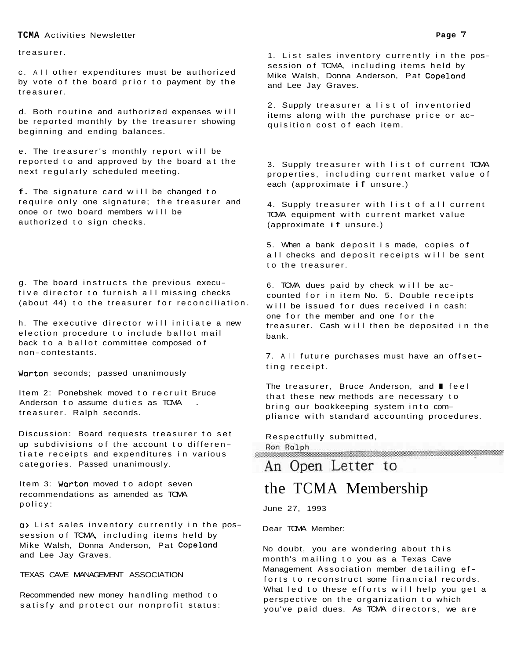treasurer.

c. All other expenditures must be authorized by vote of the board prior to payment by the treasurer.

d. Both routine and authorized expenses will be reported monthly by the treasurer showing beginning and ending balances.

e. The treasurer's monthly report will be reported to and approved by the board at the next regularly scheduled meeting.

f. The signature card will be changed to require only one signature; the treasurer and onoe or two board members will be authorized to sign checks.

g. The board instructs the previous executive director to furnish all missing checks (about 44) to the treasurer for reconciliation.

h. The executive director will initiate a new election procedure to include ballot mail back to a ballot committee composed of non- contestants.

Warton seconds; passed unanimously

Item 2: Ponebshek moved to recruit Bruce Anderson to assume duties as TCMA treasurer. Ralph seconds.

Discussion: Board requests treasurer to set up subdivisions of the account to differen tiate receipts and expenditures in various categories. Passed unanimously.

Item 3: Warton moved to adopt seven recommendations as amended as TCMA policy:

a> List sales inventory currently in the possession of TCMA, including items held by Mike Walsh, Donna Anderson, Pat Copeland and Lee Jay Graves.

TEXAS CAVE MANAGEMENT ASSOCIATION

Recommended new money handling method to satisfy and protect our nonprofit status:

1. List sales inventory currently in the possession of TCMA, including items held by Mike Walsh, Donna Anderson, Pat Copeland and Lee Jay Graves.

2. Supply treasurer a list of inventoried items along with the purchase price or acquisition cost of each item.

3. Supply treasurer with list of current TCMA properties, including current market value of each (approximate if unsure.)

4. Supply treasurer with list of all current TCMA equipment with current market value (approximate if unsure.)

5. When a bank deposit is made, copies of all checks and deposit receipts will be sent to the treasurer.

6. TCMA dues paid by check will be accounted for in item No. 5. Double receipts will be issued for dues received in cash: one for the member and one for the treasurer. Cash will then be deposited in the bank.

7. All future purchases must have an offsetting receipt.

The treasurer, Bruce Anderson, and **I** feel that these new methods are necessary to bring our bookkeeping system into compliance with standard accounting procedures.

Respectfully submitted, Ron Ralph

## An Open Letter to

## the TCMA Membership

June 27, 1993

Dear TCMA Member:

No doubt, you are wondering about this month's mailing to you as a Texas Cave Management Association member detailing efforts to reconstruct some financial records. What led to these efforts will help you get a perspective on the organization to which you've paid dues. As TCMA directors, we are